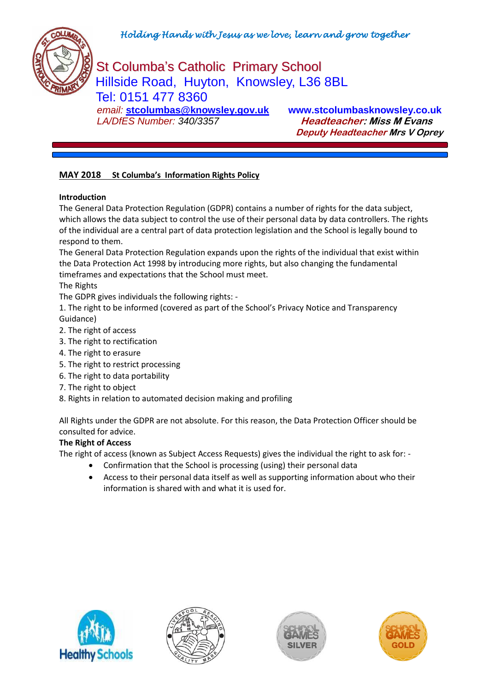

# St Columba's Catholic Primary School Hillside Road, Huyton, Knowsley, L36 8BL Tel: 0151 477 8360  *email:* **[stcolumbas@knowsley.gov.uk](mailto:stcolumbas@knowsley.gov.uk) www.stcolumbasknowsley.co.uk LA/DfES Number: 340/3357 Headteacher: Miss M Evans**

**Deputy Headteacher Mrs V Oprey** 

## **MAY 2018 St Columba's Information Rights Policy**

### **Introduction**

The General Data Protection Regulation (GDPR) contains a number of rights for the data subject, which allows the data subject to control the use of their personal data by data controllers. The rights of the individual are a central part of data protection legislation and the School is legally bound to respond to them.

The General Data Protection Regulation expands upon the rights of the individual that exist within the Data Protection Act 1998 by introducing more rights, but also changing the fundamental timeframes and expectations that the School must meet.

### The Rights

The GDPR gives individuals the following rights: -

1. The right to be informed (covered as part of the School's Privacy Notice and Transparency Guidance)

- 2. The right of access
- 3. The right to rectification
- 4. The right to erasure
- 5. The right to restrict processing
- 6. The right to data portability
- 7. The right to object
- 8. Rights in relation to automated decision making and profiling

All Rights under the GDPR are not absolute. For this reason, the Data Protection Officer should be consulted for advice.

### **The Right of Access**

The right of access (known as Subject Access Requests) gives the individual the right to ask for: -

- Confirmation that the School is processing (using) their personal data
- Access to their personal data itself as well as supporting information about who their information is shared with and what it is used for.







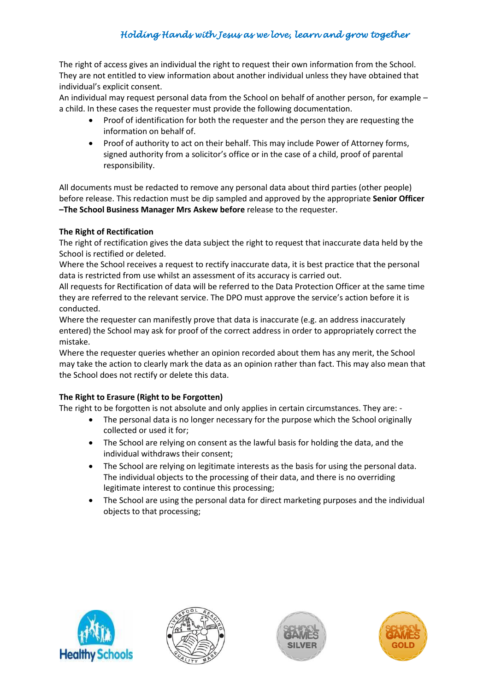The right of access gives an individual the right to request their own information from the School. They are not entitled to view information about another individual unless they have obtained that individual's explicit consent.

An individual may request personal data from the School on behalf of another person, for example – a child. In these cases the requester must provide the following documentation.

- Proof of identification for both the requester and the person they are requesting the information on behalf of.
- Proof of authority to act on their behalf. This may include Power of Attorney forms, signed authority from a solicitor's office or in the case of a child, proof of parental responsibility.

All documents must be redacted to remove any personal data about third parties (other people) before release. This redaction must be dip sampled and approved by the appropriate **Senior Officer –The School Business Manager Mrs Askew before** release to the requester.

#### **The Right of Rectification**

The right of rectification gives the data subject the right to request that inaccurate data held by the School is rectified or deleted.

Where the School receives a request to rectify inaccurate data, it is best practice that the personal data is restricted from use whilst an assessment of its accuracy is carried out.

All requests for Rectification of data will be referred to the Data Protection Officer at the same time they are referred to the relevant service. The DPO must approve the service's action before it is conducted.

Where the requester can manifestly prove that data is inaccurate (e.g. an address inaccurately entered) the School may ask for proof of the correct address in order to appropriately correct the mistake.

Where the requester queries whether an opinion recorded about them has any merit, the School may take the action to clearly mark the data as an opinion rather than fact. This may also mean that the School does not rectify or delete this data.

### **The Right to Erasure (Right to be Forgotten)**

The right to be forgotten is not absolute and only applies in certain circumstances. They are: -

- The personal data is no longer necessary for the purpose which the School originally collected or used it for;
- The School are relying on consent as the lawful basis for holding the data, and the individual withdraws their consent;
- The School are relying on legitimate interests as the basis for using the personal data. The individual objects to the processing of their data, and there is no overriding legitimate interest to continue this processing;
- The School are using the personal data for direct marketing purposes and the individual objects to that processing;







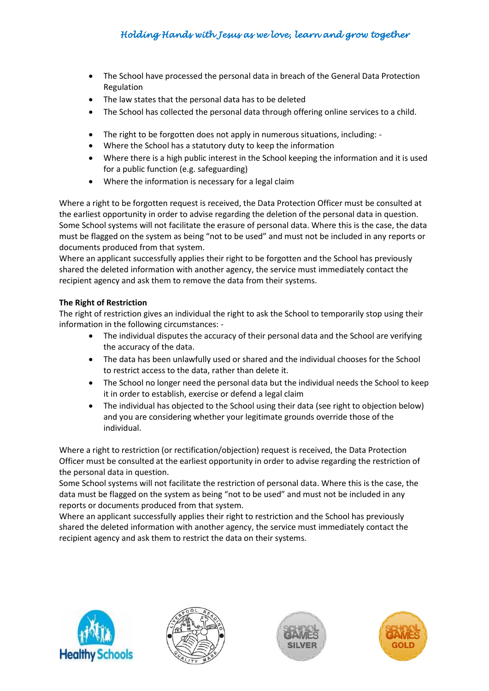- The School have processed the personal data in breach of the General Data Protection Regulation
- The law states that the personal data has to be deleted
- The School has collected the personal data through offering online services to a child.
- The right to be forgotten does not apply in numerous situations, including: -
- Where the School has a statutory duty to keep the information
- Where there is a high public interest in the School keeping the information and it is used for a public function (e.g. safeguarding)
- Where the information is necessary for a legal claim

Where a right to be forgotten request is received, the Data Protection Officer must be consulted at the earliest opportunity in order to advise regarding the deletion of the personal data in question. Some School systems will not facilitate the erasure of personal data. Where this is the case, the data must be flagged on the system as being "not to be used" and must not be included in any reports or documents produced from that system.

Where an applicant successfully applies their right to be forgotten and the School has previously shared the deleted information with another agency, the service must immediately contact the recipient agency and ask them to remove the data from their systems.

#### **The Right of Restriction**

The right of restriction gives an individual the right to ask the School to temporarily stop using their information in the following circumstances: -

- The individual disputes the accuracy of their personal data and the School are verifying the accuracy of the data.
- The data has been unlawfully used or shared and the individual chooses for the School to restrict access to the data, rather than delete it.
- The School no longer need the personal data but the individual needs the School to keep it in order to establish, exercise or defend a legal claim
- The individual has objected to the School using their data (see right to objection below) and you are considering whether your legitimate grounds override those of the individual.

Where a right to restriction (or rectification/objection) request is received, the Data Protection Officer must be consulted at the earliest opportunity in order to advise regarding the restriction of the personal data in question.

Some School systems will not facilitate the restriction of personal data. Where this is the case, the data must be flagged on the system as being "not to be used" and must not be included in any reports or documents produced from that system.

Where an applicant successfully applies their right to restriction and the School has previously shared the deleted information with another agency, the service must immediately contact the recipient agency and ask them to restrict the data on their systems.







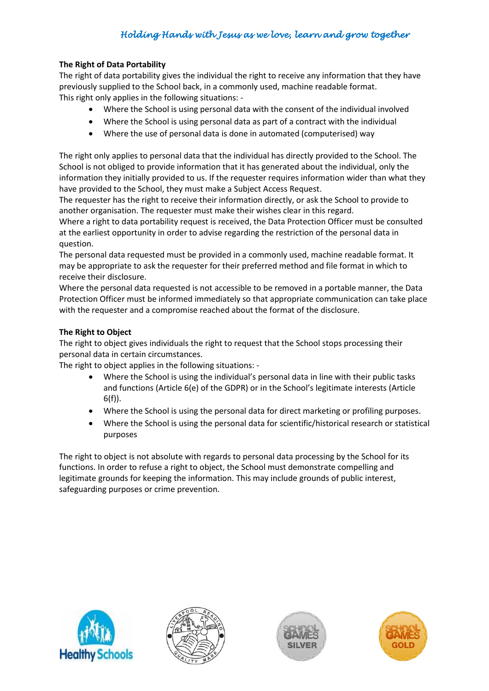#### **The Right of Data Portability**

The right of data portability gives the individual the right to receive any information that they have previously supplied to the School back, in a commonly used, machine readable format. This right only applies in the following situations: -

- Where the School is using personal data with the consent of the individual involved
- Where the School is using personal data as part of a contract with the individual
- Where the use of personal data is done in automated (computerised) way

The right only applies to personal data that the individual has directly provided to the School. The School is not obliged to provide information that it has generated about the individual, only the information they initially provided to us. If the requester requires information wider than what they have provided to the School, they must make a Subject Access Request.

The requester has the right to receive their information directly, or ask the School to provide to another organisation. The requester must make their wishes clear in this regard.

Where a right to data portability request is received, the Data Protection Officer must be consulted at the earliest opportunity in order to advise regarding the restriction of the personal data in question.

The personal data requested must be provided in a commonly used, machine readable format. It may be appropriate to ask the requester for their preferred method and file format in which to receive their disclosure.

Where the personal data requested is not accessible to be removed in a portable manner, the Data Protection Officer must be informed immediately so that appropriate communication can take place with the requester and a compromise reached about the format of the disclosure.

#### **The Right to Object**

The right to object gives individuals the right to request that the School stops processing their personal data in certain circumstances.

The right to object applies in the following situations: -

- Where the School is using the individual's personal data in line with their public tasks and functions (Article 6(e) of the GDPR) or in the School's legitimate interests (Article 6(f)).
- Where the School is using the personal data for direct marketing or profiling purposes.
- Where the School is using the personal data for scientific/historical research or statistical purposes

The right to object is not absolute with regards to personal data processing by the School for its functions. In order to refuse a right to object, the School must demonstrate compelling and legitimate grounds for keeping the information. This may include grounds of public interest, safeguarding purposes or crime prevention.







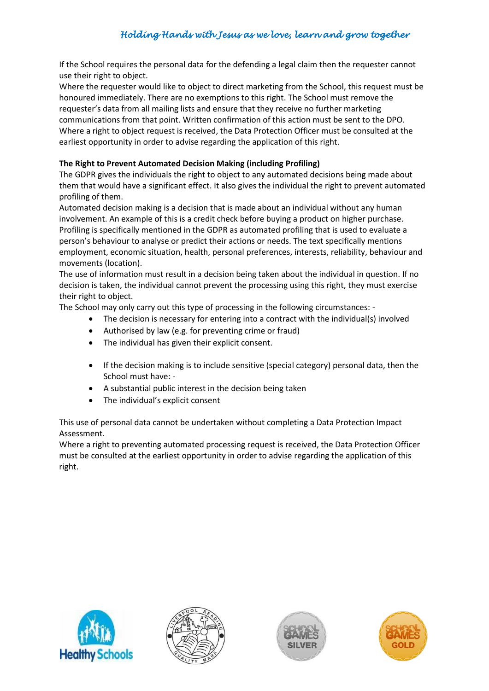If the School requires the personal data for the defending a legal claim then the requester cannot use their right to object.

Where the requester would like to object to direct marketing from the School, this request must be honoured immediately. There are no exemptions to this right. The School must remove the requester's data from all mailing lists and ensure that they receive no further marketing communications from that point. Written confirmation of this action must be sent to the DPO. Where a right to object request is received, the Data Protection Officer must be consulted at the earliest opportunity in order to advise regarding the application of this right.

#### **The Right to Prevent Automated Decision Making (including Profiling)**

The GDPR gives the individuals the right to object to any automated decisions being made about them that would have a significant effect. It also gives the individual the right to prevent automated profiling of them.

Automated decision making is a decision that is made about an individual without any human involvement. An example of this is a credit check before buying a product on higher purchase. Profiling is specifically mentioned in the GDPR as automated profiling that is used to evaluate a person's behaviour to analyse or predict their actions or needs. The text specifically mentions employment, economic situation, health, personal preferences, interests, reliability, behaviour and movements (location).

The use of information must result in a decision being taken about the individual in question. If no decision is taken, the individual cannot prevent the processing using this right, they must exercise their right to object.

The School may only carry out this type of processing in the following circumstances: -

- The decision is necessary for entering into a contract with the individual(s) involved
- Authorised by law (e.g. for preventing crime or fraud)
- The individual has given their explicit consent.
- If the decision making is to include sensitive (special category) personal data, then the School must have: -
- A substantial public interest in the decision being taken
- The individual's explicit consent

This use of personal data cannot be undertaken without completing a Data Protection Impact Assessment.

Where a right to preventing automated processing request is received, the Data Protection Officer must be consulted at the earliest opportunity in order to advise regarding the application of this right.







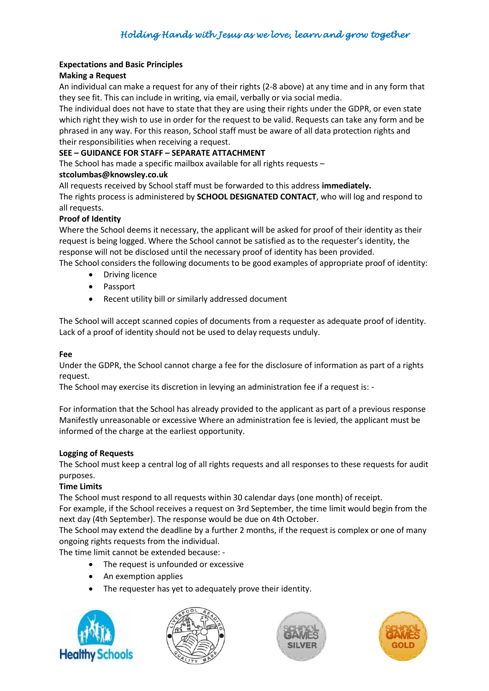#### **Expectations and Basic Principles**

#### **Making a Request**

An individual can make a request for any of their rights (2-8 above) at any time and in any form that they see fit. This can include in writing, via email, verbally or via social media.

The individual does not have to state that they are using their rights under the GDPR, or even state which right they wish to use in order for the request to be valid. Requests can take any form and be phrased in any way. For this reason, School staff must be aware of all data protection rights and their responsibilities when receiving a request.

#### **SEE – GUIDANCE FOR STAFF – SEPARATE ATTACHMENT**

The School has made a specific mailbox available for all rights requests –

#### **stcolumbas@knowsley.co.uk**

All requests received by School staff must be forwarded to this address **immediately.**  The rights process is administered by **SCHOOL DESIGNATED CONTACT**, who will log and respond to all requests.

#### **Proof of Identity**

Where the School deems it necessary, the applicant will be asked for proof of their identity as their request is being logged. Where the School cannot be satisfied as to the requester's identity, the response will not be disclosed until the necessary proof of identity has been provided.

The School considers the following documents to be good examples of appropriate proof of identity:

- Driving licence
- Passport
- Recent utility bill or similarly addressed document

The School will accept scanned copies of documents from a requester as adequate proof of identity. Lack of a proof of identity should not be used to delay requests unduly.

#### **Fee**

Under the GDPR, the School cannot charge a fee for the disclosure of information as part of a rights request.

The School may exercise its discretion in levying an administration fee if a request is: -

For information that the School has already provided to the applicant as part of a previous response Manifestly unreasonable or excessive Where an administration fee is levied, the applicant must be informed of the charge at the earliest opportunity.

#### **Logging of Requests**

The School must keep a central log of all rights requests and all responses to these requests for audit purposes.

#### **Time Limits**

The School must respond to all requests within 30 calendar days (one month) of receipt.

For example, if the School receives a request on 3rd September, the time limit would begin from the next day (4th September). The response would be due on 4th October.

The School may extend the deadline by a further 2 months, if the request is complex or one of many ongoing rights requests from the individual.

The time limit cannot be extended because: -

- The request is unfounded or excessive
- An exemption applies
- The requester has yet to adequately prove their identity.







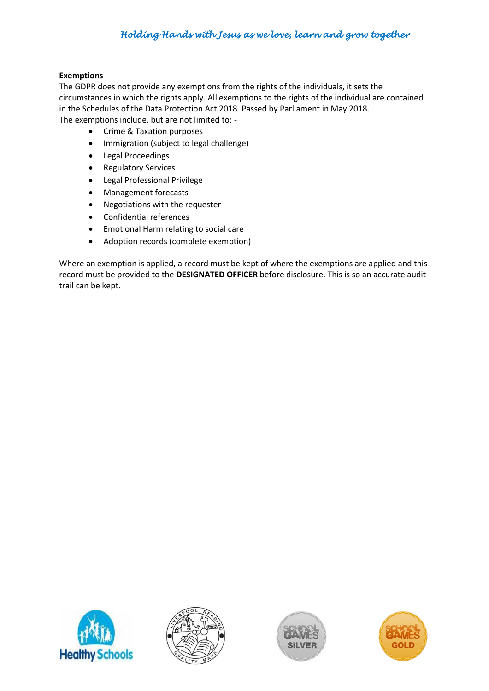#### **Exemptions**

The GDPR does not provide any exemptions from the rights of the individuals, it sets the circumstances in which the rights apply. All exemptions to the rights of the individual are contained in the Schedules of the Data Protection Act 2018. Passed by Parliament in May 2018. The exemptions include, but are not limited to: -

- Crime & Taxation purposes
- Immigration (subject to legal challenge)
- Legal Proceedings
- Regulatory Services
- Legal Professional Privilege
- Management forecasts
- Negotiations with the requester
- Confidential references
- Emotional Harm relating to social care
- Adoption records (complete exemption)

Where an exemption is applied, a record must be kept of where the exemptions are applied and this record must be provided to the **DESIGNATED OFFICER** before disclosure. This is so an accurate audit trail can be kept.